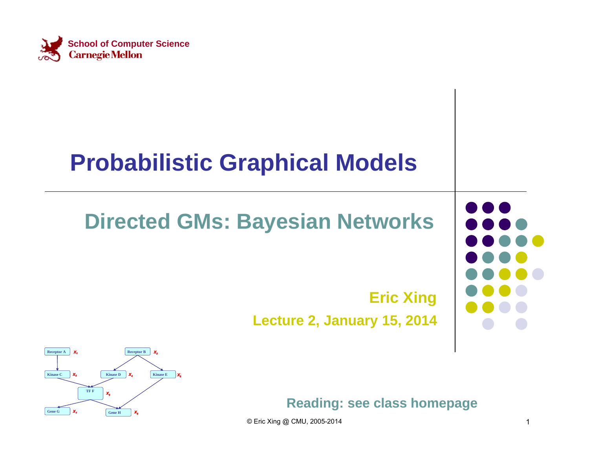

### **Probabilistic Graphical Models**

### **Directed GMs: Bayesian Networks**

### **Eric Xing Lecture 2, January 15, 2014**



**Reading: see class homepage**

© Eric Xing @ CMU, 2005-2014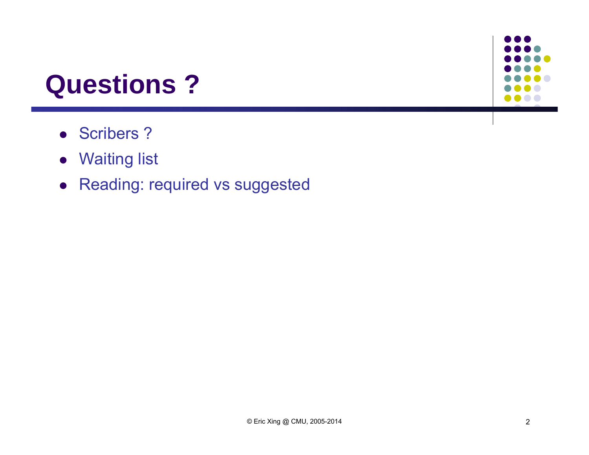## **Questions ?**

- Scribers?
- Waiting list
- Reading: required vs suggested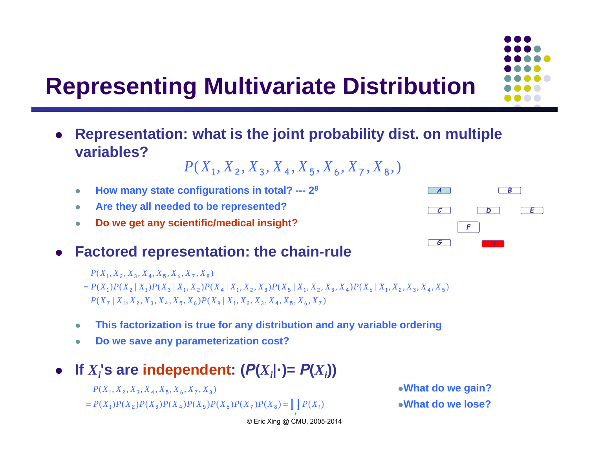### **Representing Multivariate Distribution**

 $\bullet$  **Representation: what is the joint probability dist. on multiple variables?**

$$
P(X_1, X_2, X_3, X_4, X_5, X_6, X_7, X_8, )
$$

- $\bullet$ **How many state configurations in total? --- 28**
- $\bullet$ **Are they all needed to be represented?**
- $\bullet$ **Do we get any scientific/medical insight?**

#### 0 **Factored representation: the chain-rule**

- $P(X_1, X_2, X_3, X_4, X_5, X_6, X_7, X_8)$
- $P(X_7 | X_1, X_2, X_3, X_4, X_5, X_6)P(X_8 | X_1, X_2, X_3, X_4, X_5, X_6)$  $= P(X_1)P(X_2 | X_1)P(X_3 | X_1, X_2)P(X_4 | X_1, X_2, X_3)P(X_5 | X_1, X_2, X_3, X_4)P(X_6 | X_1, X_2, X_3, X_4, X_5)$
- $\bullet$ **This factorization is true for any distribution and any variable ordering**
- 0 **Do we save any parameterization cost?**
- 0 **If** *<i>X*<sup>*;*</sup>**s** are independent:  $(P(X_i|\cdot) = P(X_i))$ 
	- $P(X_1, X_2, X_3, X_4, X_5, X_6, X_7, X_8)$  what do we gain?
	- $P(X_1)P(X_2)P(X_3)P(X_4)P(X_5)P(X_6)P(X_7)P(X_8) = \prod P(X_i)$

**What do we lose?**

*i*© Eric Xing @ CMU, 2005-2014



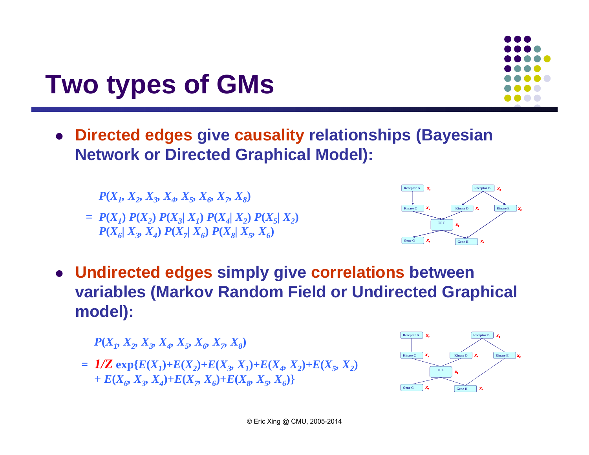## **Two types of GMs**

 **Directed edges give causality relationships (Bayesian Network or Directed Graphical Model):**

 $= P(X_1) P(X_2) P(X_3 | X_1) P(X_4 | X_2) P(X_5 | X_2)$  $P(X_6|X_3, X_4) P(X_7|X_6) P(X_8|X_5, X_6)$ 



 **Undirected edges simply give correlations between variables (Markov Random Field or Undirected Graphical model):**  $P(X_1, X_2, X_3, X_4, X_5, X_6, X_7, X_8)$ <br>  $P(X_1) P(X_2) P(X_3|X_1) P(X_4|X_2) P(X_5|X_2)$ <br>  $P(X_6|X_3, X_4) P(X_7|X_6) P(X_8|X_5, X_6)$ <br> **directed edges simply give correlations be**<br> **iables (Markov Random Field or Undirected edge):** 

 $P(X_1, X_2, X_3, X_4, X_5, X_6, X_7, X_8)$ 

$$
= 1/Z \exp{E(X_1) + E(X_2) + E(X_3, X_1) + E(X_4, X_2) + E(X_5, X_2)} + E(X_6, X_3, X_4) + E(X_7, X_6) + E(X_8, X_5, X_6)
$$

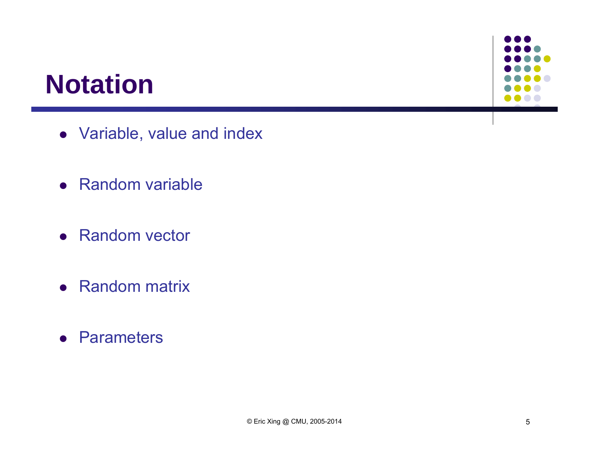## **Notation**

- Variable, value and index
- Random variable
- Random vector
- Random matrix
- **•** Parameters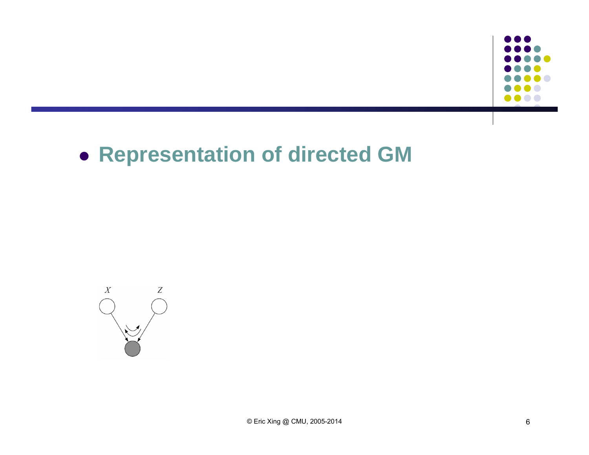

### **Representation of directed GM**

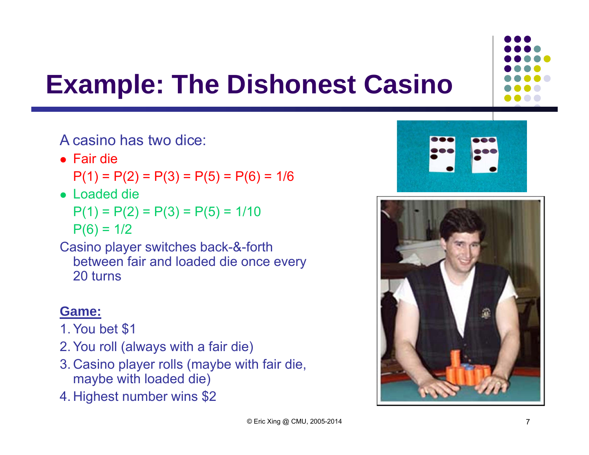

# **Example: The Dishonest Casino**

A casino has two dice:

Fair die

 $P(1) = P(2) = P(3) = P(5) = P(6) = 1/6$ 

Loaded die

 $P(1) = P(2) = P(3) = P(5) = 1/10$  $P(6) = 1/2$ 

Casino player switches back-&-forth between fair and loaded die once every 20 turns

#### **Game:**

- 1. You bet \$1
- 2. You roll (always with a fair die)
- 3. Casino player rolls (maybe with fair die, maybe with loaded die)
- 4. Highest number wins \$2



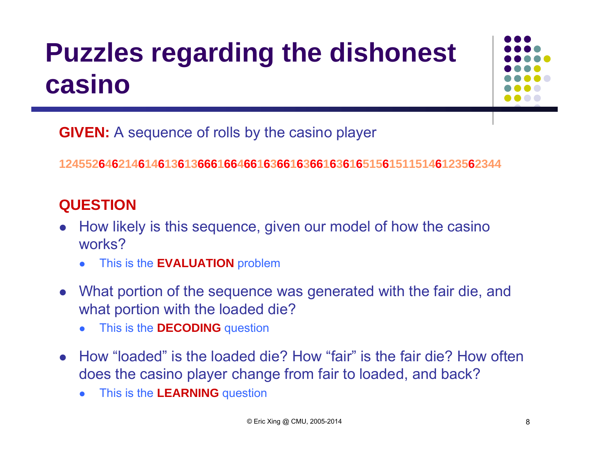# **Puzzles regarding the dishonest casino**



**GIVEN:** A sequence of rolls by the casino player

1245526462146146136136661664661636616366163616515615115146123562344

#### **QUESTION**

- $\bullet$  How likely is this sequence, given our model of how the casino works?
	- 0 This is the **EVALUATION** problem
- $\bullet$  What portion of the sequence was generated with the fair die, and what portion with the loaded die?
	- 0 This is the **DECODING** question
- How "loaded" is the loaded die? How "fair" is the fair die? How often does the casino player change from fair to loaded, and back?
	- $\bullet$ This is the **LEARNING** question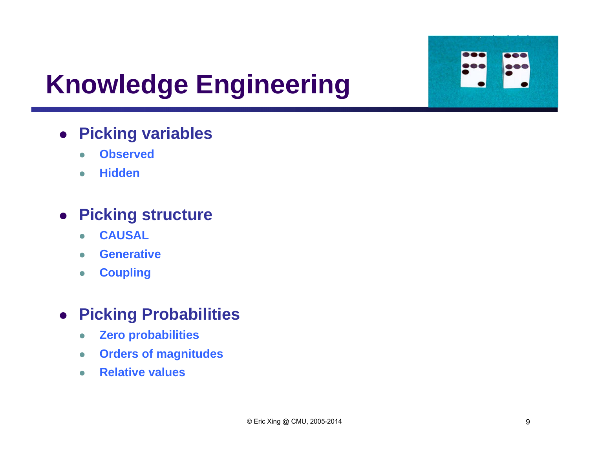

# **Knowledge Engineering**

### **Picking variables**

- $\bullet$ **Observed**
- $\bullet$ **Hidden**

#### **Picking structure**

- $\bullet$ **CAUSAL**
- $\bullet$ **Generative**
- $\bullet$ **Coupling**

#### **Picking Probabilities**

- $\bullet$ **Zero probabilities**
- $\bullet$ **Orders of magnitudes**
- $\bullet$ **Relative values**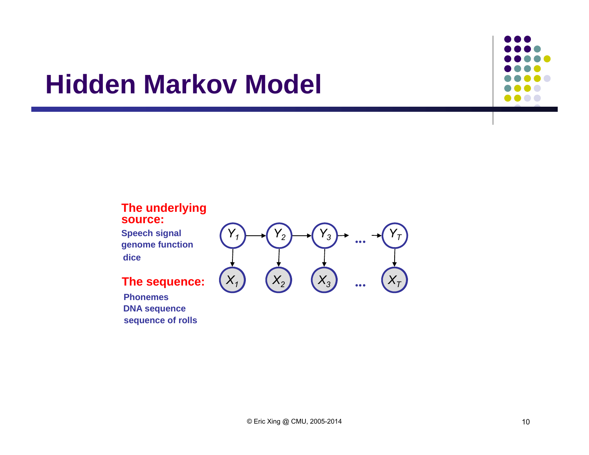### **Hidden Markov Model**



**Speech signal dicegenome function**

**PhonemesDNA sequence sequence of rolls** 



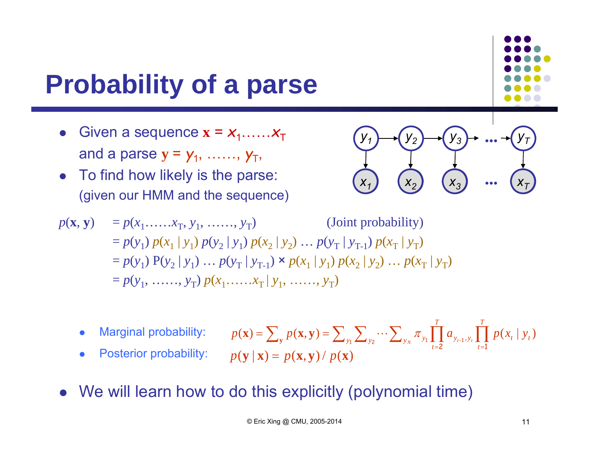# **Probability of a parse**

- $\bullet$ • Given a sequence  $\mathbf{x} = x_1, \dots, x_T$ and a parse  $\mathbf{y} = \mathbf{y}_1, \; ....... , \; \mathbf{y}_T,$
- $\bullet$  To find how likely is the parse: (given our HMM and the sequence)

*x***A***1 <sup>x</sup>***A***<sup>2</sup> x***A***3x***A***Ty1 y2 y3 ... y T...* 

*T*

$$
p(\mathbf{x}, \mathbf{y}) = p(x_1, ..., x_T, y_1, ..., y_T)
$$
 (Joint probability)  
=  $p(y_1) p(x_1 | y_1) p(y_2 | y_1) p(x_2 | y_2) ... p(y_T | y_{T-1}) p(x_T | y_T)$   
=  $p(y_1) P(y_2 | y_1) ... p(y_T | y_{T-1}) \times p(x_1 | y_1) p(x_2 | y_2) ... p(x_T | y_T)$   
=  $p(y_1, ..., y_T) p(x_1, ..., x_T | y_1, ..., y_T)$ 

 $\bullet$ Marginal probability:

$$
p(\mathbf{x}) = \sum_{\mathbf{y}} p(\mathbf{x}, \mathbf{y}) = \sum_{y_1} \sum_{y_2} \cdots \sum_{y_N} \pi_{y_1} \prod_{t=2}^T a_{y_{t-1}, y_t} \prod_{t=1}^T p(x_t | y_t)
$$

$$
p(\mathbf{y} | \mathbf{x}) = p(\mathbf{x}, \mathbf{y}) / p(\mathbf{x})
$$

- $\bullet$ Posterior probability:
- We will learn how to do this explicitly (polynomial time)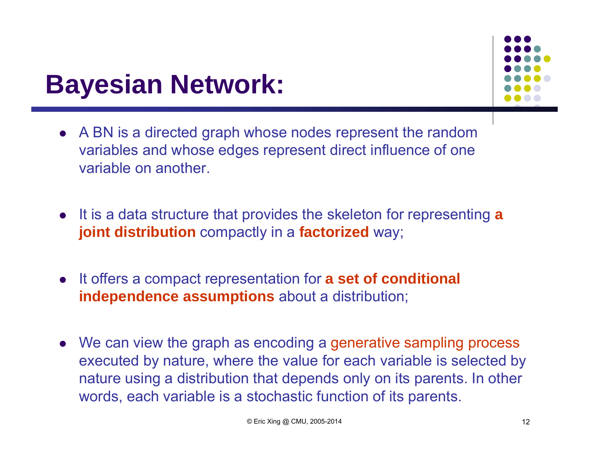## **Bayesian Network:**



- A BN is a directed graph whose nodes represent the random variables and whose edges represent direct influence of one variable on another.
- It is a data structure that provides the skeleton for representing **<sup>a</sup> joint distribution** compactly in a **factorized** way;
- **•** It offers a compact representation for **a set of conditional independence assumptions** about a distribution;
- We can view the graph as encoding a generative sampling process executed by nature, where the value for each variable is selected by nature using a distribution that depends only on its parents. In other words, each variable is a stochastic function of its parents.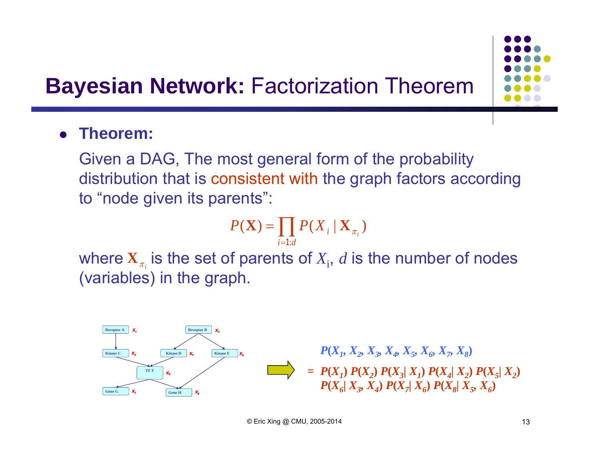### **Bayesian Network: Factorization Theorem**

 $\bullet$ **Theorem:** 

> Given a DAG, The most general form of the probability distribution that is consistent with the graph factors according to "node given its parents":

$$
P(\mathbf{X}) = \prod_{i=1:d} P(X_i \mid \mathbf{X}_{\pi_i})
$$

where  $\mathbf{X}_{\pi_i}$  is the set of parents of  $X_i$ ,  $d$  is the number of nodes (variables) in the graph.

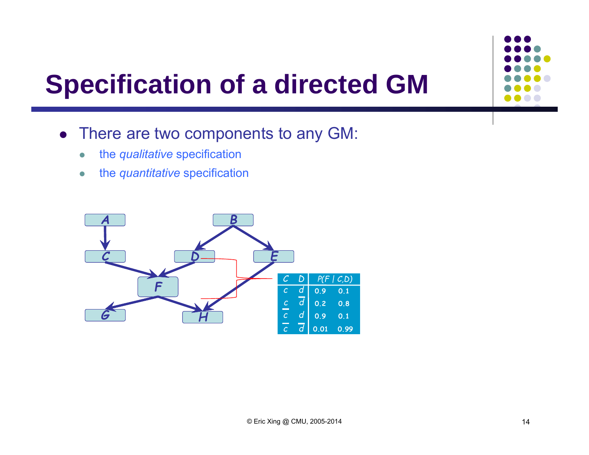# **Specification of a directed GM**

- There are two components to any GM:
	- $\bullet$ the *qualitative* specification
	- $\bullet$ the *quantitative* specification

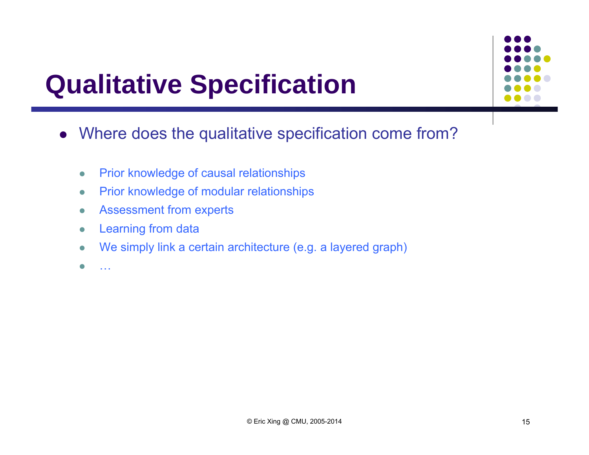# **Qualitative Specification**



- Where does the qualitative specification come from?
	- $\bullet$ Prior knowledge of causal relationships
	- $\bullet$ Prior knowledge of modular relationships
	- $\bullet$ Assessment from experts
	- $\bullet$ Learning from data
	- $\bullet$ We simply link a certain architecture (e.g. a layered graph)
	- $\bullet$ …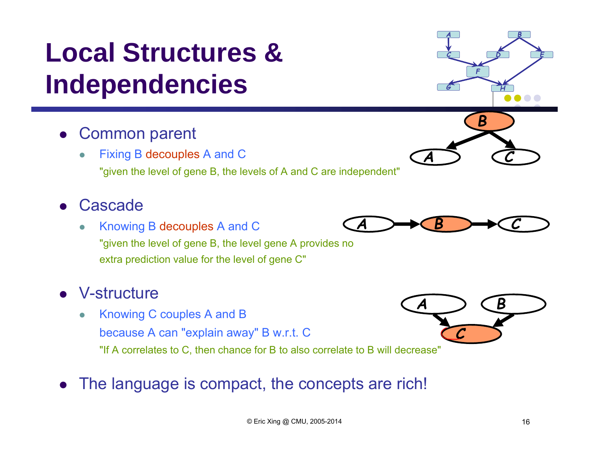# **Local Structures & Independencies**

- $\bullet$  Common parent
	- $\bullet$  Fixing B decouples A and C "given the level of gene B, the levels of A and C are independent"

#### $\bullet$ **Cascade**

 $\bullet$  Knowing B decouples A and C "given the level of gene B, the level gene A provides no extra prediction value for the level of gene C"

### V-structure

- $\bullet$  Knowing C couples A and B because A can "explain away" B w.r.t. C "If A correlates to C, then chance for B to also correlate to B will decrease"
- The language is compact, the concepts are rich!





*A*



*C*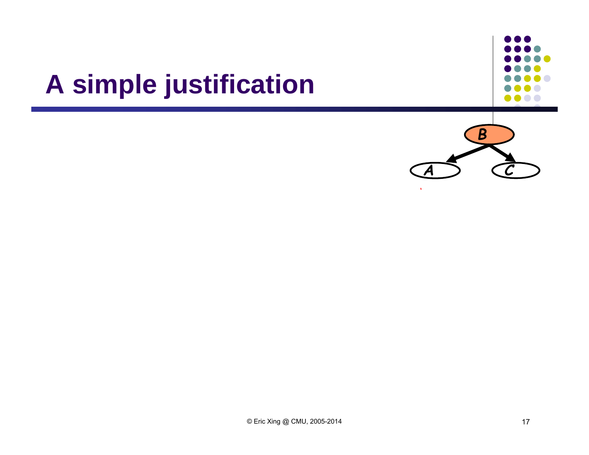# **A simple justification**

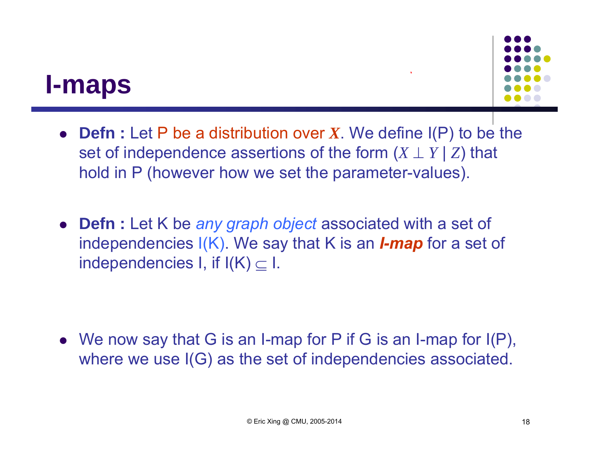### **I-maps**



- **Defn :** Let P be a distribution over *X*. We define I(P) to be the set of independence assertions of the form  $(X \perp Y | Z)$  that hold in P (however how we set the parameter-values).
- **Defn :** Let K be *any graph object* associated with a set of independencies I(K). We say that K is an *I-map* for a set of independencies I, if  $I(K) \subseteq I$ .

 We now say that G is an I-map for P if G is an I-map for I(P), where we use I(G) as the set of independencies associated.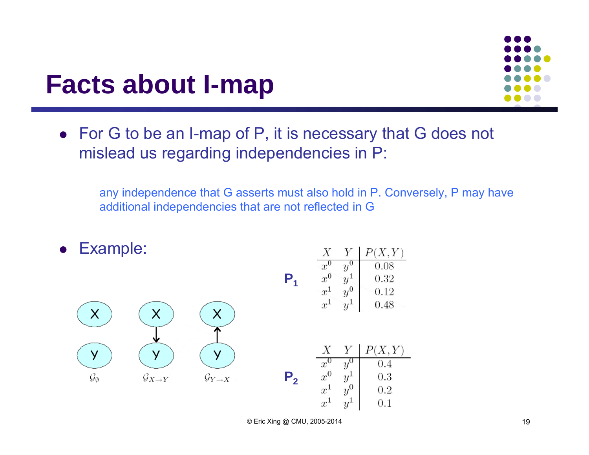### **Facts about I-map**

 For G to be an I-map of P, it is necessary that G does not mislead us regarding independencies in P:

any independence that G asserts must also hold in P. Conversely, P may have additional independencies that are not reflected in G

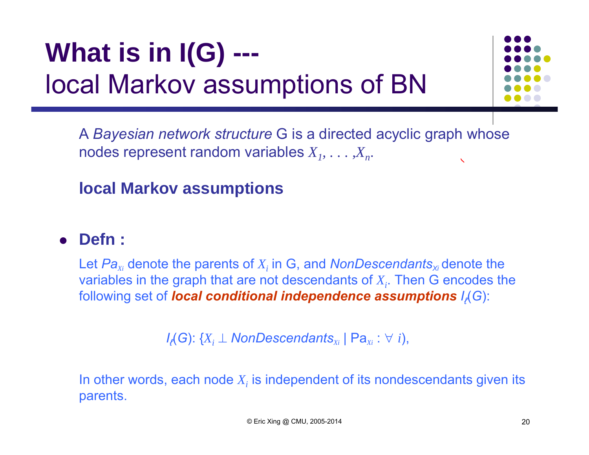# **What is in I(G) --** local Markov assumptions of BN



A *Bayesian network structure* G is a directed acyclic graph whose nodes represent random variables  $X_1, \ldots, X_n.$ 

#### **local Markov assumptions**

#### **Defn :**

Let  $\boldsymbol{Pa}_{\scriptscriptstyle{Xi}}$  denote the parents of  $X_i$  in G, and  $\boldsymbol{NonDescendants}_{\scriptscriptstyle{\mathcal{M}}}$ denote the variables in the graph that are not descendants of  $X_i$ . Then G encodes the following set of *local conditional independence assumptions I<sup>ℓ</sup>*(*G*):

*Iℓ*(*G*): {*Xi NonDescendantsXi* | Pa*Xi* : *<sup>i</sup>*),

In other words, each node  $X_i$  is independent of its nondescendants given its  $\overline{\phantom{a}}$ parents.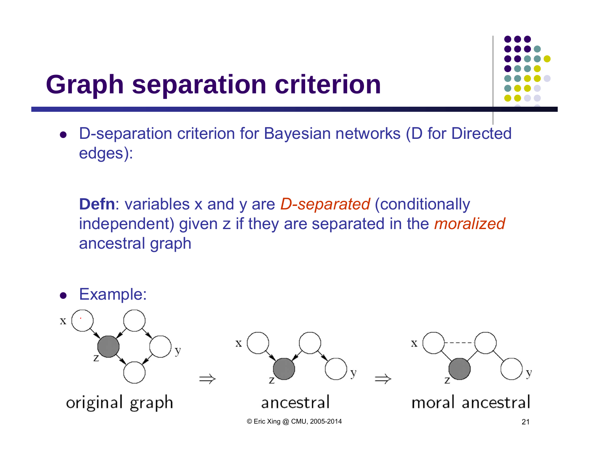# **Graph separation criterion**

 $\bullet$  D-separation criterion for Bayesian networks (D for Directed edges):

**Defn**: variables x and y are *D-separated* (conditionally independent) given z if they are separated in the *moralized*  ancestral graph

 Example:  $\bullet$  $\mathbf X$  $\mathbf X$ X moral ancestral original graph ancestral © Eric Xing @ CMU, 2005-2014 21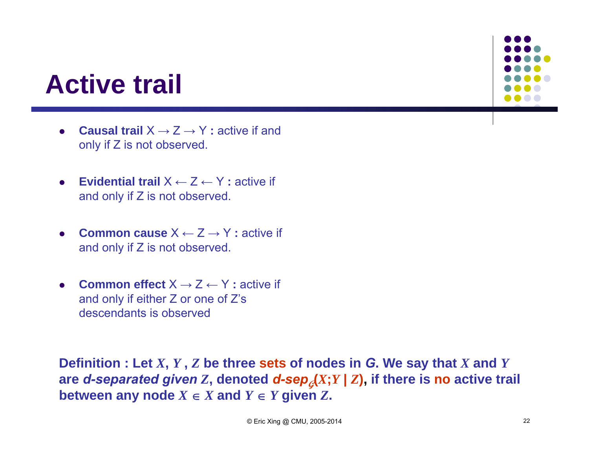## **Active trail**

- $\bullet$  **Causal trail** X → Z → Y **:** active if and only if Z is not observed.
- $\bullet$  **Evidential trail** X ← Z ← Y **:** active if and only if Z is not observed.
- $\bullet$  **Common cause** X ← Z → Y **:** active if and only if Z is not observed.
- $\bullet$ **Common effect**  $X \rightarrow Z \leftarrow Y$  **:** active if and only if either Z or one of Z's descendants is observed

**Definition : Let** *X***,** *Y* **,** *Z* **be three sets of nodes in** *G***. We say that** *X* **and** *Y* are *d*-separated given Z, denoted *d*-sep<sub> $q$ </sub>(X;Y | Z), if there is no active trail **between any node**  $X \in X$  and  $Y \in Y$  given Z.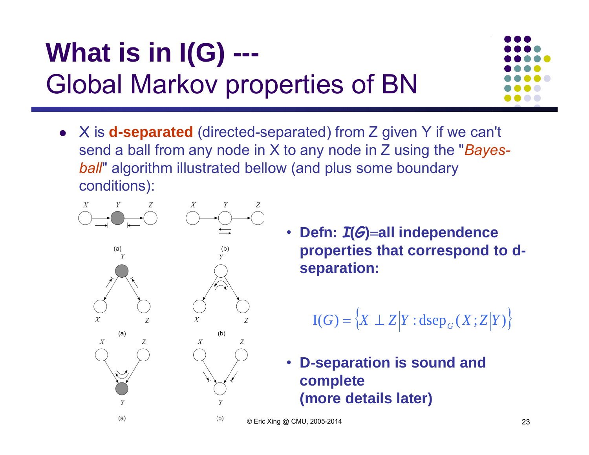# **What is in I(G) ---** Global Markov properties of BN



 X is **d-separated** (directed-separated) from Z given Y if we can't send a ball from any node in X to any node in Z using the "*Bayesball*" algorithm illustrated bellow (and plus some boundary conditions):



• **Defn:**  *I***(** *G***) all independence properties that correspond to dseparation:**

$$
I(G) = \{ X \perp Z | Y : \text{dsep}_G(X; Z | Y) \}
$$

• **D-separation is sound and complete (more details later)**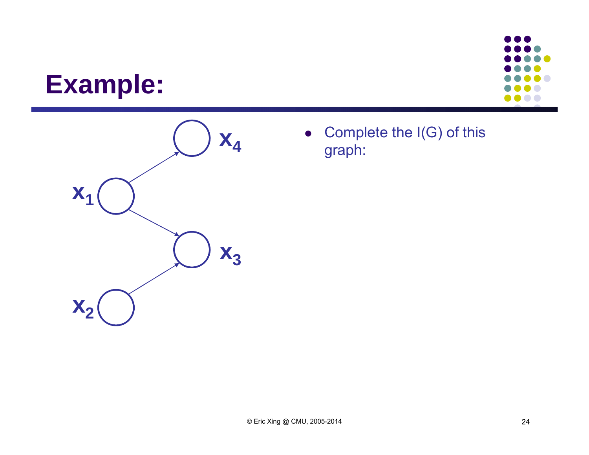### **Example:**





 $\bullet$  Complete the I(G) of this graph: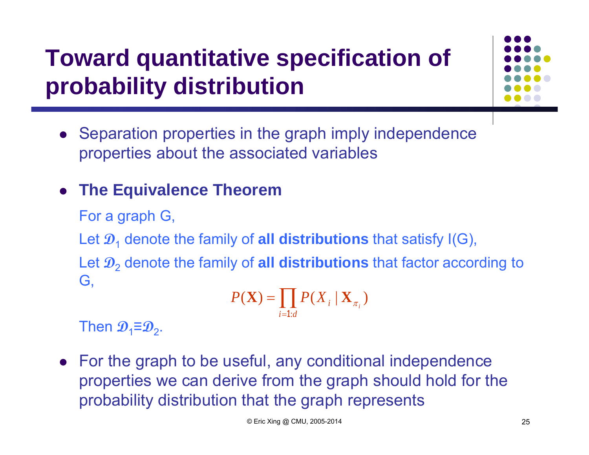## **Toward quantitative specification of probability distribution**



• Separation properties in the graph imply independence properties about the associated variables

#### **The Equivalence Theorem**

For a graph G,

Let  $\mathcal{D}_1$  denote the family of **all distributions** that satisfy I(G),

Let **D** 2 denote the family of **all distributions** that factor according to G,

$$
P(\mathbf{X}) = \prod_{i=1:d} P(X_i \mid \mathbf{X}_{\pi_i})
$$

 $\mathbf{T}$ hen  $\mathbf{\mathcal{D}}_1$ ≣ $\mathbf{\mathcal{D}}_2$ .

 For the graph to be useful, any conditional independence properties we can derive from the graph should hold for the probability distribution that the graph represents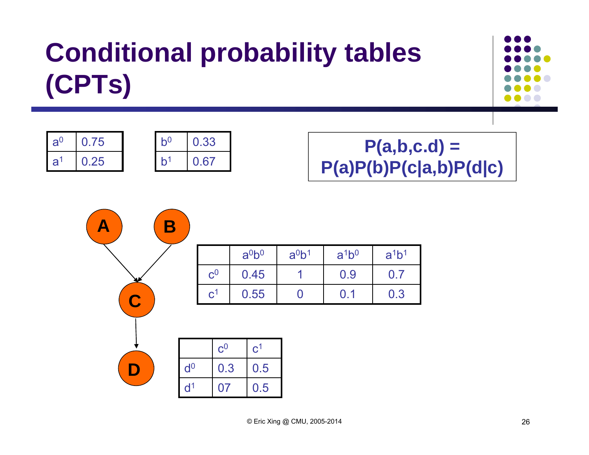# **Conditional probability tables (CPTs)**







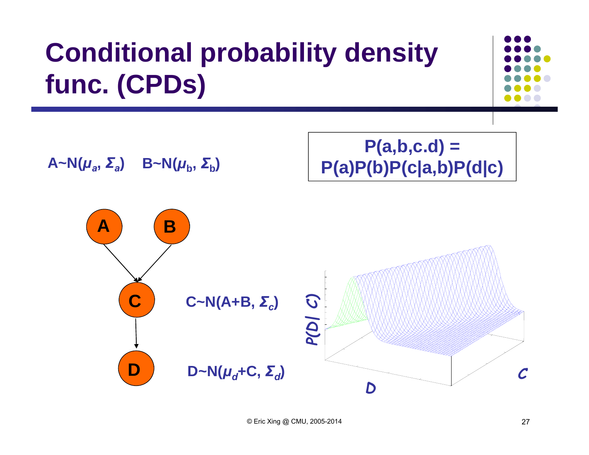# **Conditional probability density func. (CPDs)**



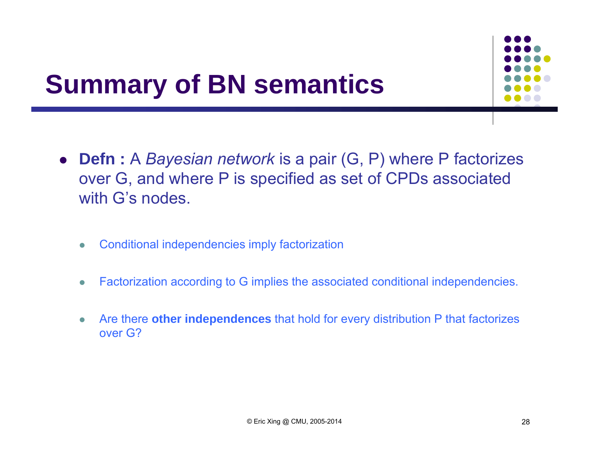# **Summary of BN semantics**

- **Defn :** A *Bayesian network* is a pair (G, P) where P factorizes over G, and where P is specified as set of CPDs associated with G's nodes.
	- $\bullet$ Conditional independencies imply factorization
	- $\bullet$ Factorization according to G implies the associated conditional independencies.
	- $\bullet$  Are there **other independences** that hold for every distribution P that factorizes over G?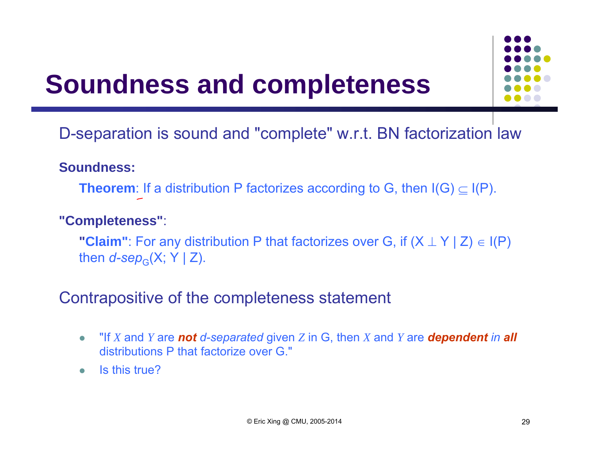## **Soundness and completeness**



D-separation is sound and "complete" w.r.t. BN factorization law

#### **Soundness:**

**Theorem**: If a distribution P factorizes according to G, then  $\mathsf{I}(\mathsf{G}) \subseteq \mathsf{I}(\mathsf{P}).$ 

#### **"Completeness"**:

**"Claim"**: For any distribution P that factorizes over G, if  $(X \perp Y | Z) \in I(P)$ then *d-sep* G(X; Y | Z).

Contrapositive of the completeness statement

- $\bullet$ • "If *X* and *Y* are not *d*-separated given *Z* in G, then *X* and *Y* are **dependent** in all distributions P that factorize over G."
- $\bullet$ Is this true?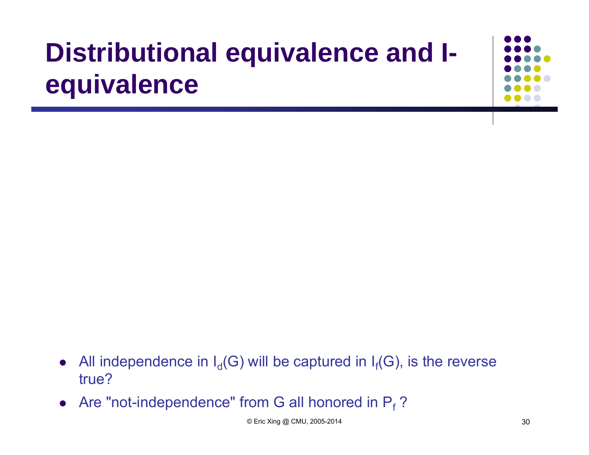# **Distributional equivalence and Iequivalence**

- $\bullet$ • All independence in  $I_d(G)$  will be captured in  $I_f(G)$ , is the reverse true?
- Are "not-independence" from G all honored in  $P_f$  ?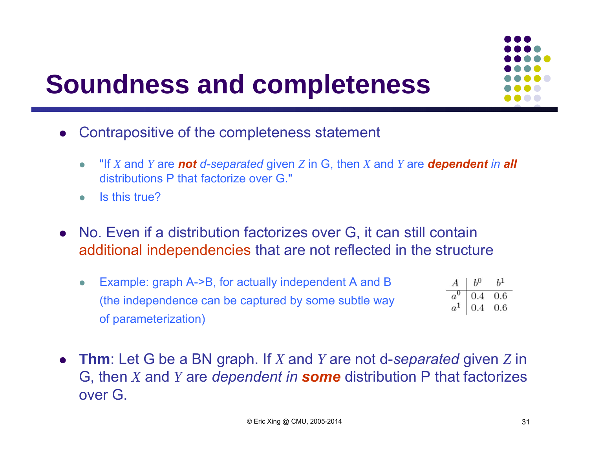

# **Soundness and completeness**

- $\bullet$  Contrapositive of the completeness statement
	- $\bullet$ • "If X and Y are not *d*-separated given Z in G, then X and Y are **dependent** in all distributions P that factorize over G."
	- $\bullet$ Is this true?
- No. Even if a distribution factorizes over G, it can still contain additional independencies that are not reflected in the structure
	- Example: graph A->B, for actually independent A and B  $b<sup>1</sup>$  $\bullet$  $a^0$  $0.4$  $0.6$ (the independence can be captured by some subtle way 0.4  $0.6$ of parameterization)
- **Thm**: Let G be a BN graph. If *X* and *Y* are not d-*separated* given *Z* in G, then *X* and *Y* are *dependent in some* distribution P that factorizes over G.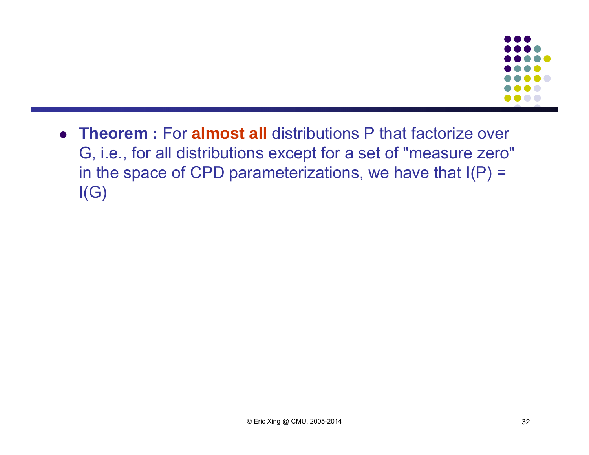

 **Theorem :** For **almost all** distributions P that factorize over G, i.e., for all distributions except for a set of "measure zero" in the space of CPD parameterizations, we have that  $I(P)$  =  $I(G)$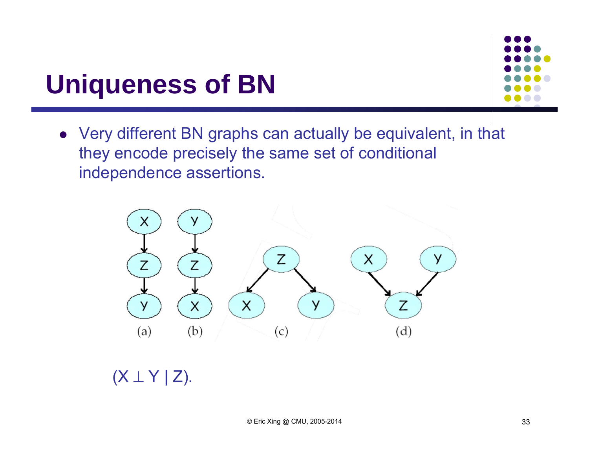## **Uniqueness of BN**



 Very different BN graphs can actually be equivalent, in that they encode precisely the same set of conditional independence assertions.



 $({\sf X} \perp {\sf Y} \mid {\sf Z}).$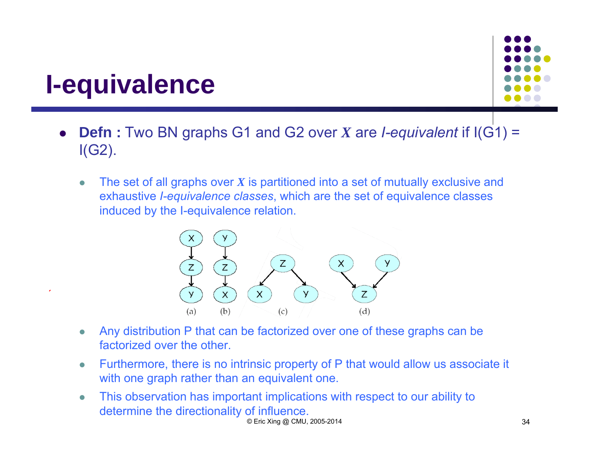## **I-equivalence**



- $\bullet$  **Defn :** Two BN graphs G1 and G2 over *X* are *I-equivalent* if I(G1) = I(G2).
	- $\bullet$  The set of all graphs over *X* is partitioned into a set of mutually exclusive and exhaustive *I-equivalence classes*, which are the set of equivalence classes induced by the I-equivalence relation.



- $\bullet$  Any distribution P that can be factorized over one of these graphs can be factorized over the other.
- $\bullet$  Furthermore, there is no intrinsic property of P that would allow us associate it with one graph rather than an equivalent one.
- $\bullet$  This observation has important implications with respect to our ability to determine the directionality of influence. © Eric Xing @ CMU, 2005-2014 34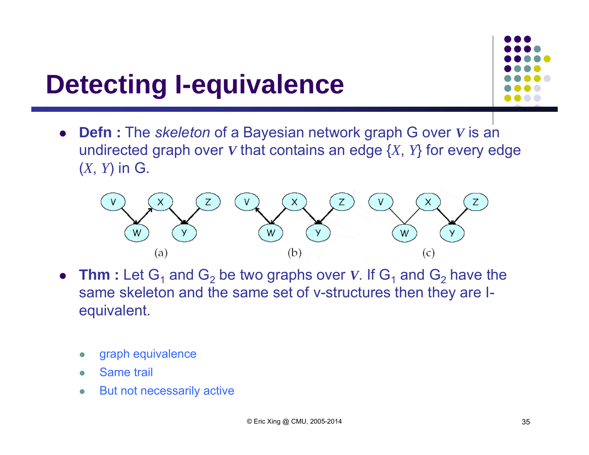# **Detecting I-equivalence**

 $\bullet$  **Defn :** The *skeleton* of a Bayesian network graph G over *V* is an undirected graph over  $\boldsymbol{V}$  that contains an edge  $\{X,~Y\}$  for every edge ( *<sup>X</sup>*, *<sup>Y</sup>*) in G.



- Thm : Let  $G_1$  and  $G_2$  be two graphs over V. If  $G_1$  and  $G_2$  have the same skeleton and the same set of v-structures then they are Iequivalent.
	- $\bullet$ graph equivalence
	- $\bullet$ Same trail
	- $\bullet$ But not necessarily active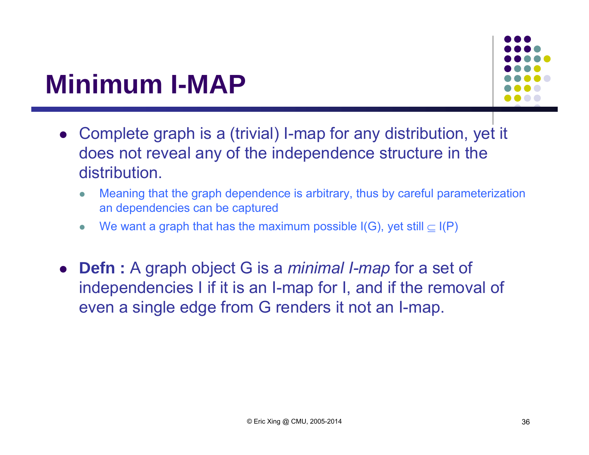# **Minimum I-MAP**



- Complete graph is a (trivial) I-map for any distribution, yet it does not reveal any of the independence structure in the distribution.
	- $\bullet$  Meaning that the graph dependence is arbitrary, thus by careful parameterization an dependencies can be captured
	- $\bullet$ We want a graph that has the maximum possible  $I(G)$ , yet still  $\subset I(P)$
- $\bullet$  **Defn :** A graph object G is a *minimal I-map* for a set of independencies I if it is an I-map for I, and if the removal of even a single edge from G renders it not an I-map.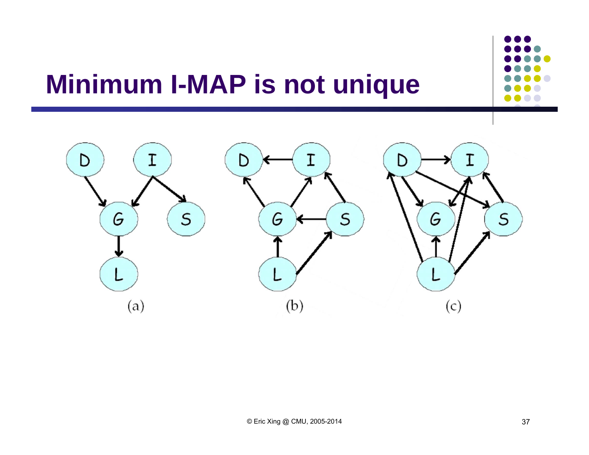# **Minimum I-MAP is not unique**

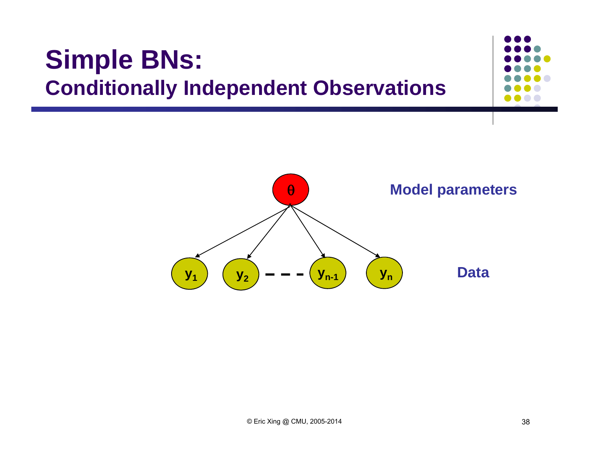### **Simple BNs: Conditionally Independent Observations**

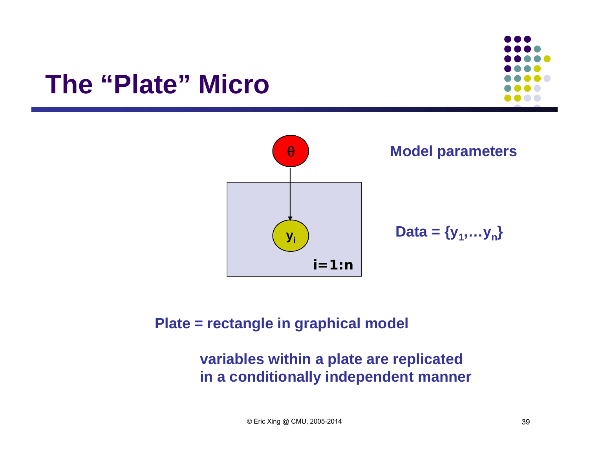### **The "Plate" Micro**



#### **Plate = rectangle in graphical model**

#### **variables within a plate are replicated in a conditionally independent manner**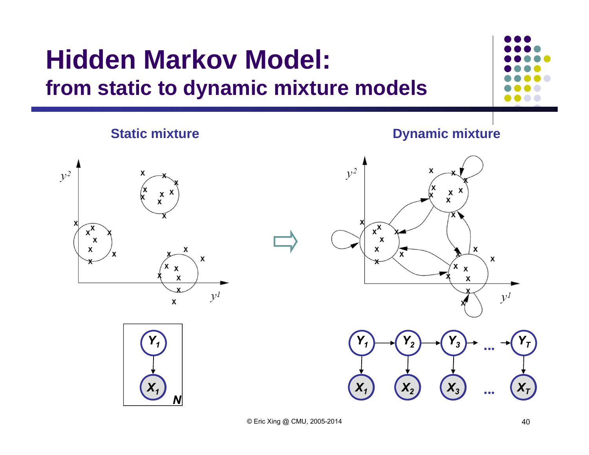### **Hidden Markov Model: from static to dynamic mixture models**



#### **Static mixture**

**Dynamic mixture**







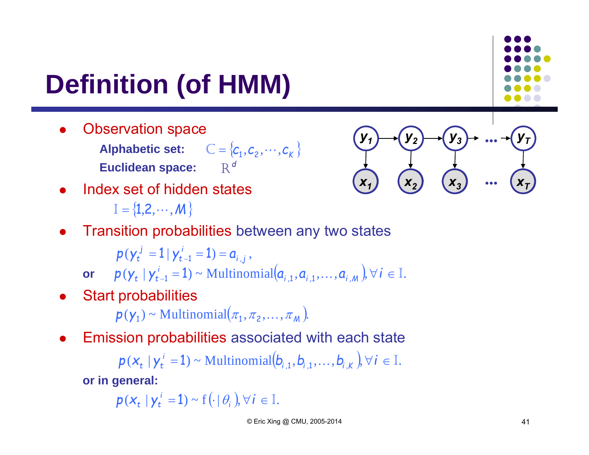# **Definition (of HMM)**

- $\bullet$  Observation space
	- Alphabetic set:  $C = \{c_1, c_2, \cdots, c_k\}$ **Euclidean space:** *d* R
- 0 Index set of hidden states
	- $\mathbb{I} = \{1,2,\cdots,M\}$
- 0 Transition probabilities between any two states

$$
p(\gamma_t^j = 1 | \gamma_{t-1}^i = 1) = a_{i,j},
$$

 $\mathbf{p}(\mathbf{y}_t \mid \mathbf{y}_{t-1}^i = 1) \sim \text{Multinomial}(\mathbf{a}_{i,1}, \mathbf{a}_{i,1}, \dots, \mathbf{a}_{i,M}), \forall i \in \mathbb{I}.$ 

 $\bullet$ Start probabilities

 $p(\mathsf{y}_1) \sim \text{Multinomial}(\pi_1, \pi_2, \dots, \pi_M).$ 

0 Emission probabilities associated with each state

> $p(x_t | y_t^i = 1) \sim \text{Multinomial}(b_{i,1}, b_{i,1}, \ldots, b_{i,k}), \forall i \in \mathbb{I}.$  $\mathbf{y}_t \mid \mathbf{y}_t^i = 1$   $\sim$  Multinomial $(\mathbf{b}_{i,1}, \mathbf{b}_{i,1}, \dots)$

**or in general:**

 $p(x_t | y_t^i = 1) \sim f(\cdot | \theta_i), \forall i \in \mathbb{I}.$  $Y_t \mid \mathbf{y}_t^i = 1$ ) ~  $\mathbf{f}(\cdot | \theta_i)$ 

*x***A***1*

*y 1*

 $X_2$ 

*y2*

 $X_3$ 

*y3*

*...* 

*...* 

 $\boldsymbol{x}_T$ 

*y T*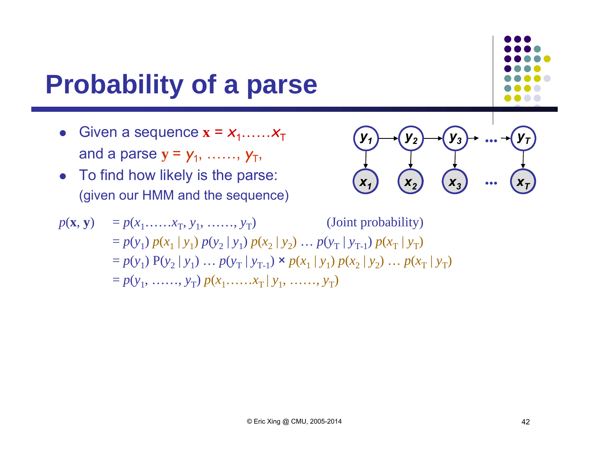# **Probability of a parse**

- Given a sequence  $\mathbf{x} = x_1, \dots, x_T$ and a parse  $\mathbf{y} = \mathbf{y}_1, \; ....... , \; \mathbf{y}_T,$
- $\bullet$  To find how likely is the parse: (given our HMM and the sequence)

$$
\begin{array}{ccc}\n\mathbf{y}_1 & \mathbf{y}_2 & \mathbf{y}_3 & \cdots & \mathbf{y}_T \\
\hline\n\mathbf{x}_1 & \mathbf{x}_2 & \mathbf{x}_3 & \cdots & \mathbf{x}_T\n\end{array}
$$

$$
p(\mathbf{x}, \mathbf{y}) = p(x_1, ..., x_T, y_1, ..., y_T)
$$
 (Joint probability)  
=  $p(y_1) p(x_1 | y_1) p(y_2 | y_1) p(x_2 | y_2) ... p(y_T | y_{T-1}) p(x_T | y_T)$   
=  $p(y_1) P(y_2 | y_1) ... p(y_T | y_{T-1}) \times p(x_1 | y_1) p(x_2 | y_2) ... p(x_T | y_T)$   
=  $p(y_1, ..., y_T) p(x_1, ..., x_T | y_1, ..., y_T)$